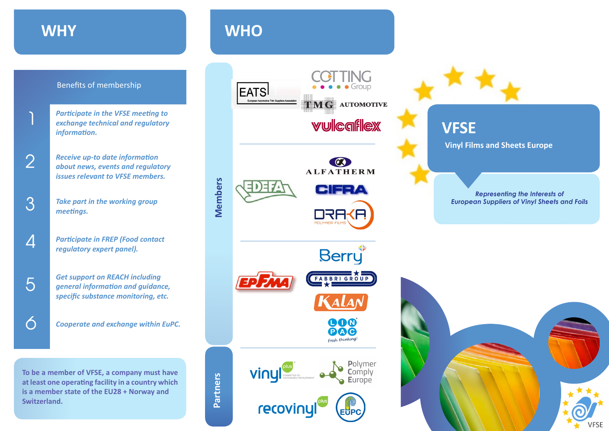### **WHY**

1

3

4

6

5

#### Benefits of membership

- *Participate in the VFSE meeting to exchange technical and regulatory information.*
- *Receive up-to date information about news, events and regulatory issues relevant to VFSE members.* 2
	- *Take part in the working group meetings.*
	- *Participate in FREP (Food contact regulatory expert panel).*
	- *Get support on REACH including general information and guidance, specific substance monitoring, etc.*
	- *Cooperate and exchange within EuPC.*

**To be a member of VFSE, a company must have at least one operating facility in a country which is a member state of the EU28 + Norway and Switzerland.**

## **WHO**